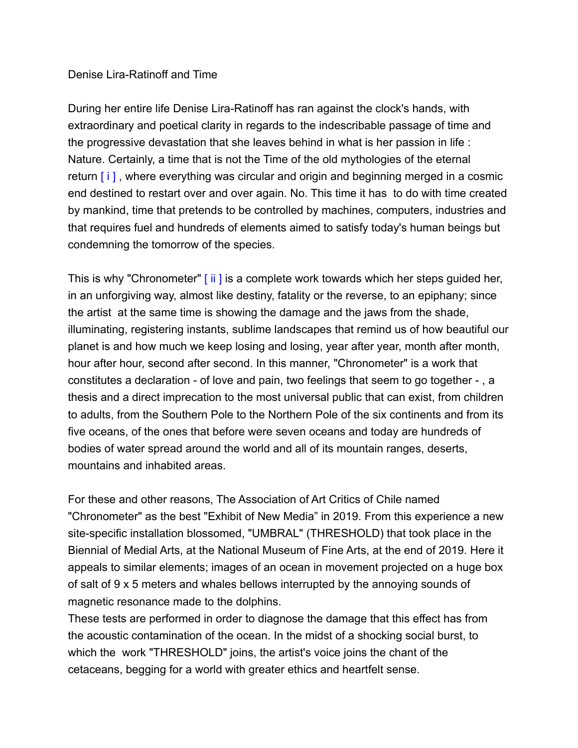## Denise Lira-Ratinoff and Time

During her entire life Denise Lira-Ratinoff has ran against the clock's hands, with extraordinary and poetical clarity in regards to the indescribable passage of time and the progressive devastation that she leaves behind in what is her passion in life : Nature. Certainly, a time that is not the Time of the old mythologies of the eternal return  $[i]$ , where everything was circular and origin and beginning merged in a cosmic end destined to restart over and over again. No. This time it has to do with time created by mankind, time that pretends to be controlled by machines, computers, industries and that requires fuel and hundreds of elements aimed to satisfy today's human beings but condemning the tomorrow of the species.

This is why "Chronometer" [ ii ] is a complete work towards which her steps guided her, in an unforgiving way, almost like destiny, fatality or the reverse, to an epiphany; since the artist at the same time is showing the damage and the jaws from the shade, illuminating, registering instants, sublime landscapes that remind us of how beautiful our planet is and how much we keep losing and losing, year after year, month after month, hour after hour, second after second. In this manner, "Chronometer" is a work that constitutes a declaration - of love and pain, two feelings that seem to go together - , a thesis and a direct imprecation to the most universal public that can exist, from children to adults, from the Southern Pole to the Northern Pole of the six continents and from its five oceans, of the ones that before were seven oceans and today are hundreds of bodies of water spread around the world and all of its mountain ranges, deserts, mountains and inhabited areas.

For these and other reasons, The Association of Art Critics of Chile named "Chronometer" as the best "Exhibit of New Media" in 2019. From this experience a new site-specific installation blossomed, "UMBRAL" (THRESHOLD) that took place in the Biennial of Medial Arts, at the National Museum of Fine Arts, at the end of 2019. Here it appeals to similar elements; images of an ocean in movement projected on a huge box of salt of 9 x 5 meters and whales bellows interrupted by the annoying sounds of magnetic resonance made to the dolphins.

These tests are performed in order to diagnose the damage that this effect has from the acoustic contamination of the ocean. In the midst of a shocking social burst, to which the work "THRESHOLD" joins, the artist's voice joins the chant of the cetaceans, begging for a world with greater ethics and heartfelt sense.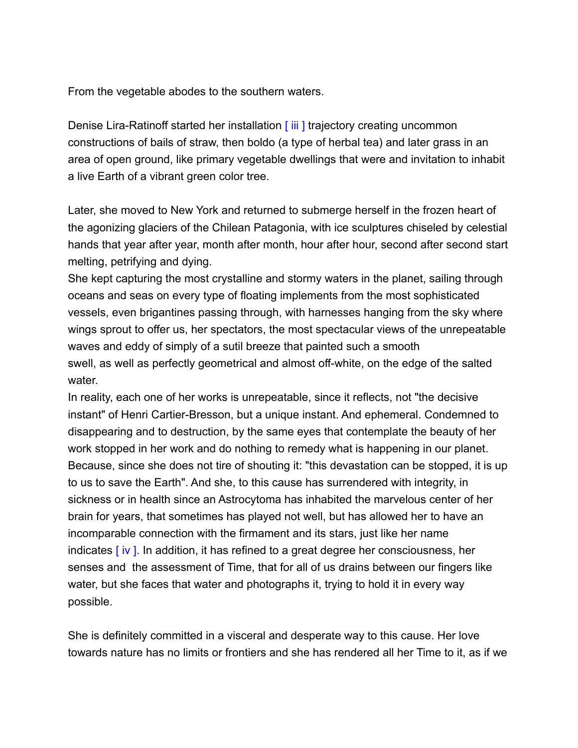From the vegetable abodes to the southern waters.

Denise Lira-Ratinoff started her installation [iii] trajectory creating uncommon constructions of bails of straw, then boldo (a type of herbal tea) and later grass in an area of open ground, like primary vegetable dwellings that were and invitation to inhabit a live Earth of a vibrant green color tree.

Later, she moved to New York and returned to submerge herself in the frozen heart of the agonizing glaciers of the Chilean Patagonia, with ice sculptures chiseled by celestial hands that year after year, month after month, hour after hour, second after second start melting, petrifying and dying.

She kept capturing the most crystalline and stormy waters in the planet, sailing through oceans and seas on every type of floating implements from the most sophisticated vessels, even brigantines passing through, with harnesses hanging from the sky where wings sprout to offer us, her spectators, the most spectacular views of the unrepeatable waves and eddy of simply of a sutil breeze that painted such a smooth swell, as well as perfectly geometrical and almost off-white, on the edge of the salted water.

In reality, each one of her works is unrepeatable, since it reflects, not "the decisive instant" of Henri Cartier-Bresson, but a unique instant. And ephemeral. Condemned to disappearing and to destruction, by the same eyes that contemplate the beauty of her work stopped in her work and do nothing to remedy what is happening in our planet. Because, since she does not tire of shouting it: "this devastation can be stopped, it is up to us to save the Earth". And she, to this cause has surrendered with integrity, in sickness or in health since an Astrocytoma has inhabited the marvelous center of her brain for years, that sometimes has played not well, but has allowed her to have an incomparable connection with the firmament and its stars, just like her name indicates  $\lceil \text{iv} \rceil$ . In addition, it has refined to a great degree her consciousness, her senses and the assessment of Time, that for all of us drains between our fingers like water, but she faces that water and photographs it, trying to hold it in every way possible.

She is definitely committed in a visceral and desperate way to this cause. Her love towards nature has no limits or frontiers and she has rendered all her Time to it, as if we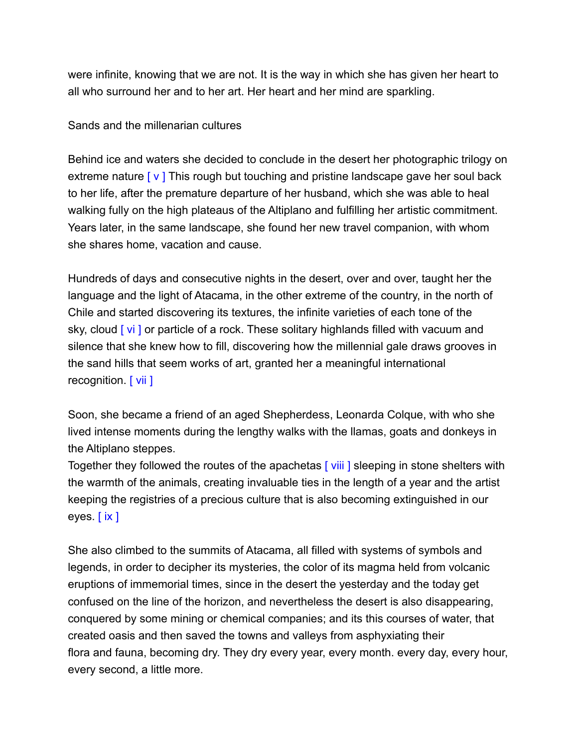were infinite, knowing that we are not. It is the way in which she has given her heart to all who surround her and to her art. Her heart and her mind are sparkling.

Sands and the millenarian cultures

Behind ice and waters she decided to conclude in the desert her photographic trilogy on extreme nature  $\lceil v \rceil$  This rough but touching and pristine landscape gave her soul back to her life, after the premature departure of her husband, which she was able to heal walking fully on the high plateaus of the Altiplano and fulfilling her artistic commitment. Years later, in the same landscape, she found her new travel companion, with whom she shares home, vacation and cause.

Hundreds of days and consecutive nights in the desert, over and over, taught her the language and the light of Atacama, in the other extreme of the country, in the north of Chile and started discovering its textures, the infinite varieties of each tone of the sky, cloud [vi ] or particle of a rock. These solitary highlands filled with vacuum and silence that she knew how to fill, discovering how the millennial gale draws grooves in the sand hills that seem works of art, granted her a meaningful international recognition. [ vii ]

Soon, she became a friend of an aged Shepherdess, Leonarda Colque, with who she lived intense moments during the lengthy walks with the llamas, goats and donkeys in the Altiplano steppes.

Together they followed the routes of the apachetas [viii] sleeping in stone shelters with the warmth of the animals, creating invaluable ties in the length of a year and the artist keeping the registries of a precious culture that is also becoming extinguished in our eyes. [ ix ]

She also climbed to the summits of Atacama, all filled with systems of symbols and legends, in order to decipher its mysteries, the color of its magma held from volcanic eruptions of immemorial times, since in the desert the yesterday and the today get confused on the line of the horizon, and nevertheless the desert is also disappearing, conquered by some mining or chemical companies; and its this courses of water, that created oasis and then saved the towns and valleys from asphyxiating their flora and fauna, becoming dry. They dry every year, every month. every day, every hour, every second, a little more.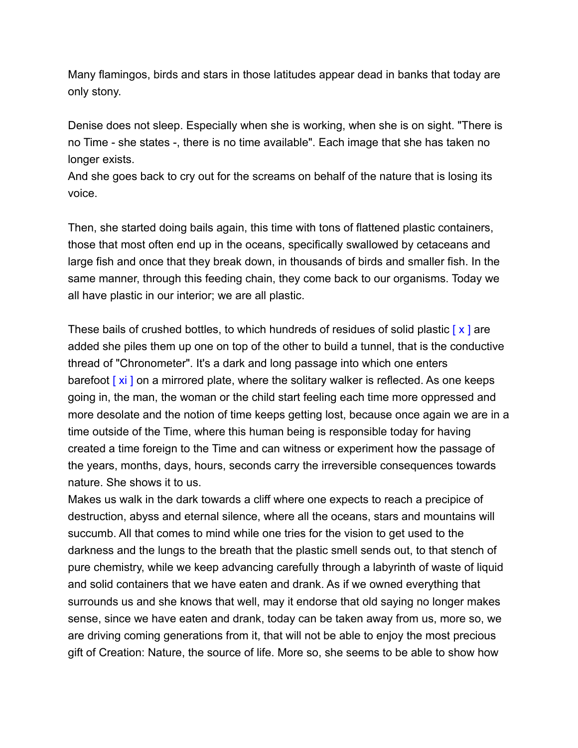Many flamingos, birds and stars in those latitudes appear dead in banks that today are only stony.

Denise does not sleep. Especially when she is working, when she is on sight. "There is no Time - she states -, there is no time available". Each image that she has taken no longer exists.

And she goes back to cry out for the screams on behalf of the nature that is losing its voice.

Then, she started doing bails again, this time with tons of flattened plastic containers, those that most often end up in the oceans, specifically swallowed by cetaceans and large fish and once that they break down, in thousands of birds and smaller fish. In the same manner, through this feeding chain, they come back to our organisms. Today we all have plastic in our interior; we are all plastic.

These bails of crushed bottles, to which hundreds of residues of solid plastic  $[x]$  are added she piles them up one on top of the other to build a tunnel, that is the conductive thread of "Chronometer". It's a dark and long passage into which one enters barefoot  $[x_i]$  on a mirrored plate, where the solitary walker is reflected. As one keeps going in, the man, the woman or the child start feeling each time more oppressed and more desolate and the notion of time keeps getting lost, because once again we are in a time outside of the Time, where this human being is responsible today for having created a time foreign to the Time and can witness or experiment how the passage of the years, months, days, hours, seconds carry the irreversible consequences towards nature. She shows it to us.

Makes us walk in the dark towards a cliff where one expects to reach a precipice of destruction, abyss and eternal silence, where all the oceans, stars and mountains will succumb. All that comes to mind while one tries for the vision to get used to the darkness and the lungs to the breath that the plastic smell sends out, to that stench of pure chemistry, while we keep advancing carefully through a labyrinth of waste of liquid and solid containers that we have eaten and drank. As if we owned everything that surrounds us and she knows that well, may it endorse that old saying no longer makes sense, since we have eaten and drank, today can be taken away from us, more so, we are driving coming generations from it, that will not be able to enjoy the most precious gift of Creation: Nature, the source of life. More so, she seems to be able to show how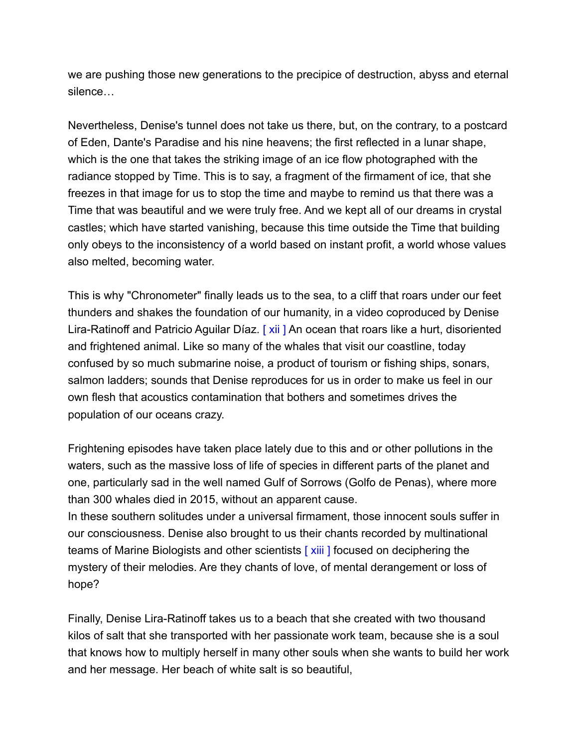we are pushing those new generations to the precipice of destruction, abyss and eternal silence…

Nevertheless, Denise's tunnel does not take us there, but, on the contrary, to a postcard of Eden, Dante's Paradise and his nine heavens; the first reflected in a lunar shape, which is the one that takes the striking image of an ice flow photographed with the radiance stopped by Time. This is to say, a fragment of the firmament of ice, that she freezes in that image for us to stop the time and maybe to remind us that there was a Time that was beautiful and we were truly free. And we kept all of our dreams in crystal castles; which have started vanishing, because this time outside the Time that building only obeys to the inconsistency of a world based on instant profit, a world whose values also melted, becoming water.

This is why "Chronometer" finally leads us to the sea, to a cliff that roars under our feet thunders and shakes the foundation of our humanity, in a video coproduced by Denise Lira-Ratinoff and Patricio Aguilar Díaz. [xii] An ocean that roars like a hurt, disoriented and frightened animal. Like so many of the whales that visit our coastline, today confused by so much submarine noise, a product of tourism or fishing ships, sonars, salmon ladders; sounds that Denise reproduces for us in order to make us feel in our own flesh that acoustics contamination that bothers and sometimes drives the population of our oceans crazy.

Frightening episodes have taken place lately due to this and or other pollutions in the waters, such as the massive loss of life of species in different parts of the planet and one, particularly sad in the well named Gulf of Sorrows (Golfo de Penas), where more than 300 whales died in 2015, without an apparent cause.

In these southern solitudes under a universal firmament, those innocent souls suffer in our consciousness. Denise also brought to us their chants recorded by multinational teams of Marine Biologists and other scientists [ xiii ] focused on deciphering the mystery of their melodies. Are they chants of love, of mental derangement or loss of hope?

Finally, Denise Lira-Ratinoff takes us to a beach that she created with two thousand kilos of salt that she transported with her passionate work team, because she is a soul that knows how to multiply herself in many other souls when she wants to build her work and her message. Her beach of white salt is so beautiful,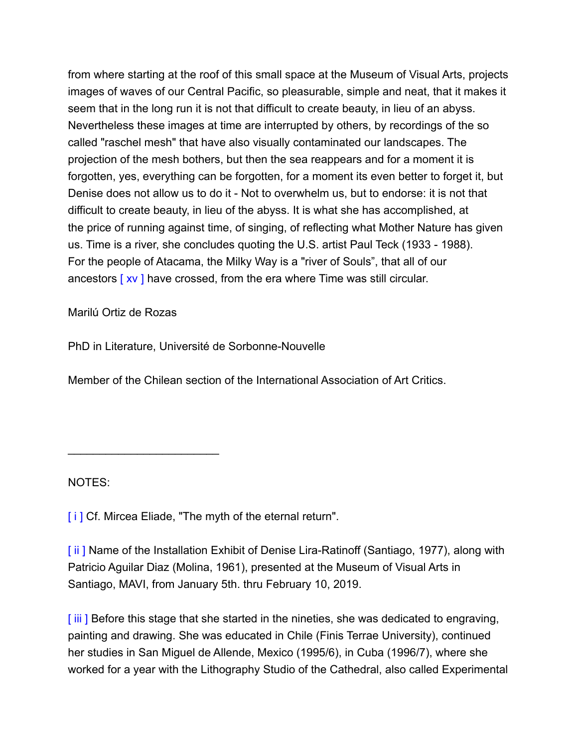from where starting at the roof of this small space at the Museum of Visual Arts, projects images of waves of our Central Pacific, so pleasurable, simple and neat, that it makes it seem that in the long run it is not that difficult to create beauty, in lieu of an abyss. Nevertheless these images at time are interrupted by others, by recordings of the so called "raschel mesh" that have also visually contaminated our landscapes. The projection of the mesh bothers, but then the sea reappears and for a moment it is forgotten, yes, everything can be forgotten, for a moment its even better to forget it, but Denise does not allow us to do it - Not to overwhelm us, but to endorse: it is not that difficult to create beauty, in lieu of the abyss. It is what she has accomplished, at the price of running against time, of singing, of reflecting what Mother Nature has given us. Time is a river, she concludes quoting the U.S. artist Paul Teck (1933 - 1988). For the people of Atacama, the Milky Way is a "river of Souls", that all of our ancestors [ xv ] have crossed, from the era where Time was still circular.

Marilú Ortiz de Rozas

 $\overline{\phantom{a}}$  , where  $\overline{\phantom{a}}$  , where  $\overline{\phantom{a}}$  , where  $\overline{\phantom{a}}$ 

PhD in Literature, Université de Sorbonne-Nouvelle

Member of the Chilean section of the International Association of Art Critics.

NOTES:

[i] Cf. Mircea Eliade, "The myth of the eternal return".

[ii] Name of the Installation Exhibit of Denise Lira-Ratinoff (Santiago, 1977), along with Patricio Aguilar Diaz (Molina, 1961), presented at the Museum of Visual Arts in Santiago, MAVI, from January 5th. thru February 10, 2019.

[ iii ] Before this stage that she started in the nineties, she was dedicated to engraving, painting and drawing. She was educated in Chile (Finis Terrae University), continued her studies in San Miguel de Allende, Mexico (1995/6), in Cuba (1996/7), where she worked for a year with the Lithography Studio of the Cathedral, also called Experimental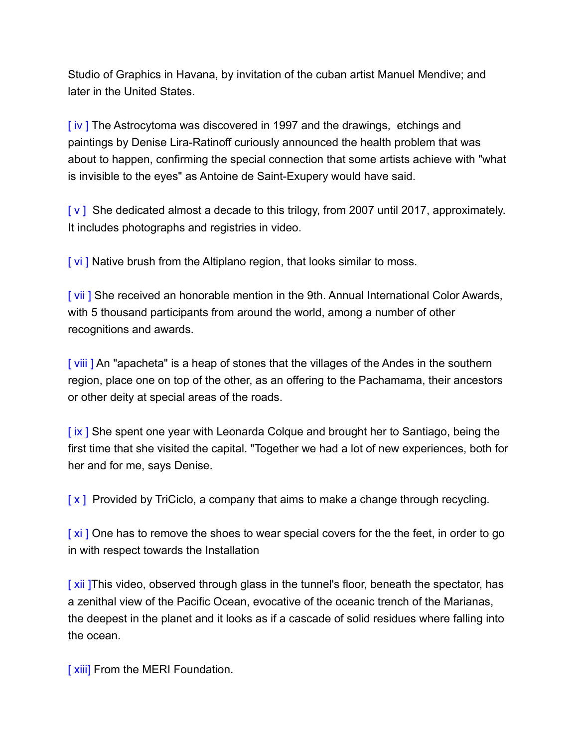Studio of Graphics in Havana, by invitation of the cuban artist Manuel Mendive; and later in the United States.

[ iv ] The Astrocytoma was discovered in 1997 and the drawings, etchings and paintings by Denise Lira-Ratinoff curiously announced the health problem that was about to happen, confirming the special connection that some artists achieve with "what is invisible to the eyes" as Antoine de Saint-Exupery would have said.

[v] She dedicated almost a decade to this trilogy, from 2007 until 2017, approximately. It includes photographs and registries in video.

[vi] Native brush from the Altiplano region, that looks similar to moss.

[vii] She received an honorable mention in the 9th. Annual International Color Awards, with 5 thousand participants from around the world, among a number of other recognitions and awards.

[ viii ] An "apacheta" is a heap of stones that the villages of the Andes in the southern region, place one on top of the other, as an offering to the Pachamama, their ancestors or other deity at special areas of the roads.

[ix] She spent one year with Leonarda Colque and brought her to Santiago, being the first time that she visited the capital. "Together we had a lot of new experiences, both for her and for me, says Denise.

 $[x]$  Provided by TriCiclo, a company that aims to make a change through recycling.

[xi] One has to remove the shoes to wear special covers for the the feet, in order to go in with respect towards the Installation

[ xii ]This video, observed through glass in the tunnel's floor, beneath the spectator, has a zenithal view of the Pacific Ocean, evocative of the oceanic trench of the Marianas, the deepest in the planet and it looks as if a cascade of solid residues where falling into the ocean.

[xiii] From the MERI Foundation.